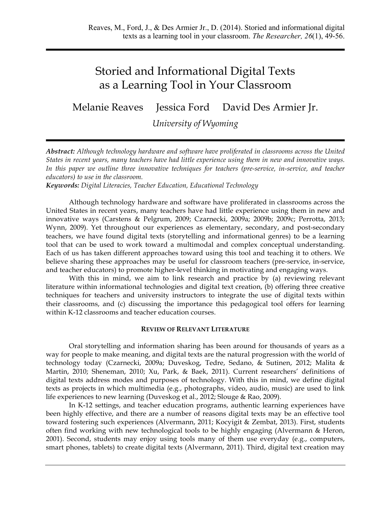# Storied and Informational Digital Texts as a Learning Tool in Your Classroom

Melanie Reaves Jessica Ford David Des Armier Jr.

*University of Wyoming*

*Abstract: Although technology hardware and software have proliferated in classrooms across the United States in recent years, many teachers have had little experience using them in new and innovative ways.*  In this paper we outline three innovative techniques for teachers (pre-service, in-service, and teacher *educators) to use in the classroom.*

*Keywords: Digital Literacies, Teacher Education, Educational Technology*

Although technology hardware and software have proliferated in classrooms across the United States in recent years, many teachers have had little experience using them in new and innovative ways (Carstens & Pelgrum, 2009; Czarnecki, 2009a; 2009b; 2009c; Perrotta, 2013; Wynn, 2009). Yet throughout our experiences as elementary, secondary, and post-secondary teachers, we have found digital texts (storytelling and informational genres) to be a learning tool that can be used to work toward a multimodal and complex conceptual understanding. Each of us has taken different approaches toward using this tool and teaching it to others. We believe sharing these approaches may be useful for classroom teachers (pre-service, in-service, and teacher educators) to promote higher-level thinking in motivating and engaging ways.

With this in mind, we aim to link research and practice by (a) reviewing relevant literature within informational technologies and digital text creation, (b) offering three creative techniques for teachers and university instructors to integrate the use of digital texts within their classrooms, and (c) discussing the importance this pedagogical tool offers for learning within K-12 classrooms and teacher education courses.

#### **REVIEW OF RELEVANT LITERATURE**

Oral storytelling and information sharing has been around for thousands of years as a way for people to make meaning, and digital texts are the natural progression with the world of technology today (Czarnecki, 2009a; Duveskog, Tedre, Sedano, & Sutinen, 2012; Malita & Martin, 2010; Sheneman, 2010; Xu, Park, & Baek, 2011). Current researchers' definitions of digital texts address modes and purposes of technology. With this in mind, we define digital texts as projects in which multimedia (e.g., photographs, video, audio, music) are used to link life experiences to new learning (Duveskog et al., 2012; Slouge & Rao, 2009).

In K-12 settings, and teacher education programs, authentic learning experiences have been highly effective, and there are a number of reasons digital texts may be an effective tool toward fostering such experiences (Alvermann, 2011; Kocyigit & Zembat, 2013). First, students often find working with new technological tools to be highly engaging (Alvermann & Heron, 2001). Second, students may enjoy using tools many of them use everyday (e.g., computers, smart phones, tablets) to create digital texts (Alvermann, 2011). Third, digital text creation may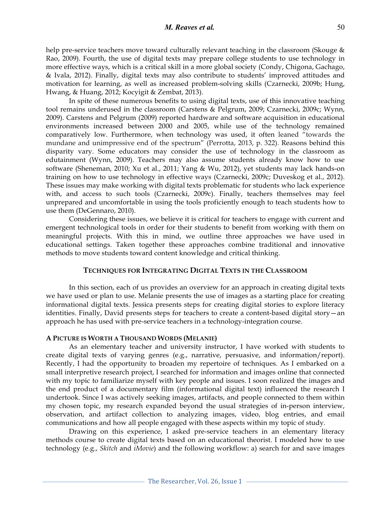help pre-service teachers move toward culturally relevant teaching in the classroom (Skouge & Rao, 2009). Fourth, the use of digital texts may prepare college students to use technology in more effective ways, which is a critical skill in a more global society (Condy, Chigona, Gachago, & Ivala, 2012). Finally, digital texts may also contribute to students' improved attitudes and motivation for learning, as well as increased problem-solving skills (Czarnecki, 2009b; Hung, Hwang, & Huang, 2012; Kocyigit & Zembat, 2013).

In spite of these numerous benefits to using digital texts, use of this innovative teaching tool remains underused in the classroom (Carstens & Pelgrum, 2009; Czarnecki, 2009c; Wynn, 2009). Carstens and Pelgrum (2009) reported hardware and software acquisition in educational environments increased between 2000 and 2005, while use of the technology remained comparatively low. Furthermore, when technology was used, it often leaned "towards the mundane and unimpressive end of the spectrum" (Perrotta, 2013, p. 322). Reasons behind this disparity vary. Some educators may consider the use of technology in the classroom as edutainment (Wynn, 2009). Teachers may also assume students already know how to use software (Sheneman, 2010; Xu et al., 2011; Yang & Wu, 2012), yet students may lack hands-on training on how to use technology in effective ways (Czarnecki, 2009c; Duveskog et al., 2012). These issues may make working with digital texts problematic for students who lack experience with, and access to such tools (Czarnecki, 2009c). Finally, teachers themselves may feel unprepared and uncomfortable in using the tools proficiently enough to teach students how to use them (DeGennaro, 2010).

Considering these issues, we believe it is critical for teachers to engage with current and emergent technological tools in order for their students to benefit from working with them on meaningful projects. With this in mind, we outline three approaches we have used in educational settings. Taken together these approaches combine traditional and innovative methods to move students toward content knowledge and critical thinking.

## **TECHNIQUES FOR INTEGRATING DIGITAL TEXTS IN THE CLASSROOM**

In this section, each of us provides an overview for an approach in creating digital texts we have used or plan to use. Melanie presents the use of images as a starting place for creating informational digital texts. Jessica presents steps for creating digital stories to explore literacy identities. Finally, David presents steps for teachers to create a content-based digital story—an approach he has used with pre-service teachers in a technology-integration course.

## **A PICTURE IS WORTH A THOUSAND WORDS (MELANIE)**

As an elementary teacher and university instructor, I have worked with students to create digital texts of varying genres (e.g., narrative, persuasive, and information/report). Recently, I had the opportunity to broaden my repertoire of techniques. As I embarked on a small interpretive research project, I searched for information and images online that connected with my topic to familiarize myself with key people and issues. I soon realized the images and the end product of a documentary film (informational digital text) influenced the research I undertook. Since I was actively seeking images, artifacts, and people connected to them within my chosen topic, my research expanded beyond the usual strategies of in-person interview, observation, and artifact collection to analyzing images, video, blog entries, and email communications and how all people engaged with these aspects within my topic of study.

Drawing on this experience, I asked pre-service teachers in an elementary literacy methods course to create digital texts based on an educational theorist. I modeled how to use technology (e.g., *Skitch* and *iMovie*) and the following workflow: a) search for and save images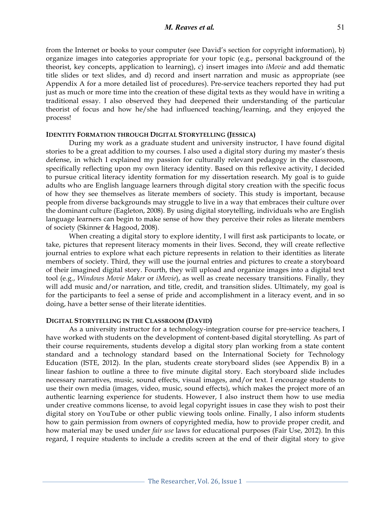## *M. Reaves et al.* 51

from the Internet or books to your computer (see David's section for copyright information), b) organize images into categories appropriate for your topic (e.g., personal background of the theorist, key concepts, application to learning), c) insert images into *iMovie* and add thematic title slides or text slides, and d) record and insert narration and music as appropriate (see Appendix A for a more detailed list of procedures). Pre-service teachers reported they had put just as much or more time into the creation of these digital texts as they would have in writing a traditional essay. I also observed they had deepened their understanding of the particular theorist of focus and how he/she had influenced teaching/learning, and they enjoyed the process!

## **IDENTITY FORMATION THROUGH DIGITAL STORYTELLING (JESSICA)**

During my work as a graduate student and university instructor, I have found digital stories to be a great addition to my courses. I also used a digital story during my master's thesis defense, in which I explained my passion for culturally relevant pedagogy in the classroom, specifically reflecting upon my own literacy identity. Based on this reflexive activity, I decided to pursue critical literacy identity formation for my dissertation research. My goal is to guide adults who are English language learners through digital story creation with the specific focus of how they see themselves as literate members of society. This study is important, because people from diverse backgrounds may struggle to live in a way that embraces their culture over the dominant culture (Eagleton, 2008). By using digital storytelling, individuals who are English language learners can begin to make sense of how they perceive their roles as literate members of society (Skinner & Hagood, 2008).

When creating a digital story to explore identity, I will first ask participants to locate, or take, pictures that represent literacy moments in their lives. Second, they will create reflective journal entries to explore what each picture represents in relation to their identities as literate members of society. Third, they will use the journal entries and pictures to create a storyboard of their imagined digital story. Fourth, they will upload and organize images into a digital text tool (e.g., *Windows Movie Maker* or *iMovie*), as well as create necessary transitions. Finally, they will add music and/or narration, and title, credit, and transition slides. Ultimately, my goal is for the participants to feel a sense of pride and accomplishment in a literacy event, and in so doing, have a better sense of their literate identities.

#### **DIGITAL STORYTELLING IN THE CLASSROOM (DAVID)**

As a university instructor for a technology-integration course for pre-service teachers, I have worked with students on the development of content-based digital storytelling. As part of their course requirements, students develop a digital story plan working from a state content standard and a technology standard based on the International Society for Technology Education (ISTE, 2012). In the plan, students create storyboard slides (see Appendix B) in a linear fashion to outline a three to five minute digital story. Each storyboard slide includes necessary narratives, music, sound effects, visual images, and/or text. I encourage students to use their own media (images, video, music, sound effects), which makes the project more of an authentic learning experience for students. However, I also instruct them how to use media under creative commons license, to avoid legal copyright issues in case they wish to post their digital story on YouTube or other public viewing tools online. Finally, I also inform students how to gain permission from owners of copyrighted media, how to provide proper credit, and how material may be used under *fair use* laws for educational purposes (Fair Use, 2012). In this regard, I require students to include a credits screen at the end of their digital story to give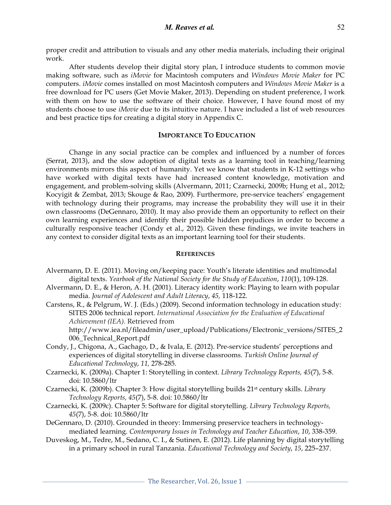proper credit and attribution to visuals and any other media materials, including their original work.

After students develop their digital story plan, I introduce students to common movie making software, such as *iMovie* for Macintosh computers and *Windows Movie Maker* for PC computers. *iMovie* comes installed on most Macintosh computers and *Windows Movie Maker* is a free download for PC users (Get Movie Maker, 2013). Depending on student preference, I work with them on how to use the software of their choice. However, I have found most of my students choose to use *iMovie* due to its intuitive nature. I have included a list of web resources and best practice tips for creating a digital story in Appendix C.

## **IMPORTANCE TO EDUCATION**

Change in any social practice can be complex and influenced by a number of forces (Serrat, 2013), and the slow adoption of digital texts as a learning tool in teaching/learning environments mirrors this aspect of humanity. Yet we know that students in K-12 settings who have worked with digital texts have had increased content knowledge, motivation and engagement, and problem-solving skills (Alvermann, 2011; Czarnecki, 2009b; Hung et al., 2012; Kocyigit & Zembat, 2013; Skouge & Rao, 2009). Furthermore, pre-service teachers' engagement with technology during their programs, may increase the probability they will use it in their own classrooms (DeGennaro, 2010). It may also provide them an opportunity to reflect on their own learning experiences and identify their possible hidden prejudices in order to become a culturally responsive teacher (Condy et al., 2012). Given these findings, we invite teachers in any context to consider digital texts as an important learning tool for their students.

## **REFERENCES**

- Alvermann, D. E. (2011). Moving on/keeping pace: Youth's literate identities and multimodal digital texts. *Yearbook of the National Society for the Study of Education*, *110*(1), 109-128.
- Alvermann, D. E., & Heron, A. H. (2001). Literacy identity work: Playing to learn with popular media. *Journal of Adolescent and Adult Literacy*, *45,* 118-122.
- Carstens, R., & Pelgrum, W. J. (Eds.) (2009). Second information technology in education study: SITES 2006 technical report. *International Association for the Evaluation of Educational Achievement (IEA).* Retrieved from

http://www.iea.nl/fileadmin/user\_upload/Publications/Electronic\_versions/SITES\_2 006\_Technical\_Report.pdf

- Condy, J., Chigona, A., Gachago, D., & Ivala, E. (2012). Pre-service students' perceptions and experiences of digital storytelling in diverse classrooms. *Turkish Online Journal of Educational Technology*, *11,* 278-285.
- Czarnecki, K. (2009a). Chapter 1: Storytelling in context. *Library Technology Reports, 45*(7), 5-8. doi: 10.5860/ltr
- Czarnecki, K. (2009b). Chapter 3: How digital storytelling builds 21st century skills. *Library Technology Reports, 45*(7), 5-8. doi: 10.5860/ltr
- Czarnecki, K. (2009c). Chapter 5: Software for digital storytelling. *Library Technology Reports, 45*(7), 5-8. doi: 10.5860/ltr
- DeGennaro, D. (2010). Grounded in theory: Immersing preservice teachers in technologymediated learning. *Contemporary Issues in Technology and Teacher Education*, *10*, 338-359.
- Duveskog, M., Tedre, M., Sedano, C. I., & Sutinen, E. (2012). Life planning by digital storytelling in a primary school in rural Tanzania. *Educational Technology and Society*, *15*, 225–237.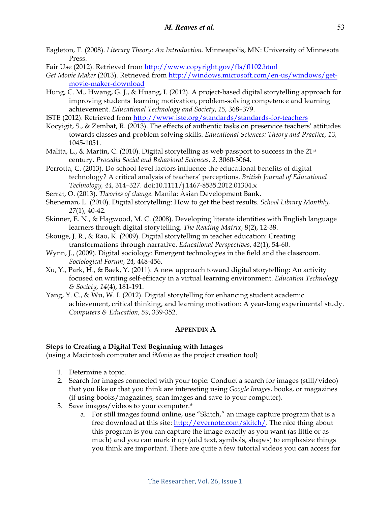- Eagleton, T. (2008). *Literary Theory: An Introduction*. Minneapolis, MN: University of Minnesota Press.
- Fair Use (2012). Retrieved from http://www.copyright.gov/fls/fl102.html
- *Get Movie Maker* (2013). Retrieved from http://windows.microsoft.com/en-us/windows/getmovie-maker-download
- Hung, C. M., Hwang, G. J., & Huang, I. (2012). A project-based digital storytelling approach for improving students' learning motivation, problem-solving competence and learning achievement. *Educational Technology and Society*, *15,* 368–379.
- ISTE (2012). Retrieved from http://www.iste.org/standards/standards-for-teachers
- Kocyigit, S., & Zembat, R. (2013). The effects of authentic tasks on preservice teachers' attitudes towards classes and problem solving skills. *Educational Sciences: Theory and Practice, 13,*  1045-1051.
- Malita, L., & Martin, C. (2010). Digital storytelling as web passport to success in the  $21^{st}$ century. *Procedia Social and Behavioral Sciences*, *2,* 3060-3064.
- Perrotta, C. (2013). Do school-level factors influence the educational benefits of digital technology? A critical analysis of teachers' perceptions. *British Journal of Educational Technology, 44*, 314–327. doi:10.1111/j.1467-8535.2012.01304.x
- Serrat, O. (2013). *Theories of change*. Manila: Asian Development Bank.
- Sheneman, L. (2010). Digital storytelling: How to get the best results. *School Library Monthly, 27*(1), 40-42.
- Skinner, E. N., & Hagwood, M. C. (2008). Developing literate identities with English language learners through digital storytelling. *The Reading Matrix*, 8(2), 12-38.
- Skouge, J. R., & Rao, K. (2009). Digital storytelling in teacher education: Creating transformations through narrative. *Educational Perspectives*, *42*(1), 54-60.
- Wynn, J., (2009). Digital sociology: Emergent technologies in the field and the classroom. *Sociological Forum*, *24,* 448-456.
- Xu, Y., Park, H., & Baek, Y. (2011). A new approach toward digital storytelling: An activity focused on writing self-efficacy in a virtual learning environment. *Education Technology & Society, 14*(4), 181-191.
- Yang, Y. C., & Wu, W. I. (2012). Digital storytelling for enhancing student academic achievement, critical thinking, and learning motivation: A year-long experimental study. *Computers & Education, 59*, 339-352.

## **APPENDIX A**

## **Steps to Creating a Digital Text Beginning with Images**

(using a Macintosh computer and *iMovie* as the project creation tool)

- 1. Determine a topic.
- 2. Search for images connected with your topic: Conduct a search for images (still/video) that you like or that you think are interesting using *Google Images*, books, or magazines (if using books/magazines, scan images and save to your computer).
- 3. Save images/videos to your computer.\*
	- a. For still images found online, use "Skitch," an image capture program that is a free download at this site: http://evernote.com/skitch/. The nice thing about this program is you can capture the image exactly as you want (as little or as much) and you can mark it up (add text, symbols, shapes) to emphasize things you think are important. There are quite a few tutorial videos you can access for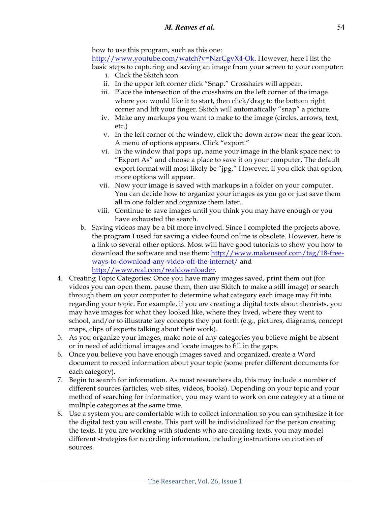how to use this program, such as this one:

http://www.youtube.com/watch?v=NzrCgvX4-Ok. However, here I list the basic steps to capturing and saving an image from your screen to your computer:

- i. Click the Skitch icon.
- ii. In the upper left corner click "Snap." Crosshairs will appear.
- iii. Place the intersection of the crosshairs on the left corner of the image where you would like it to start, then click/drag to the bottom right corner and lift your finger. Skitch will automatically "snap" a picture.
- iv. Make any markups you want to make to the image (circles, arrows, text, etc.)
- v. In the left corner of the window, click the down arrow near the gear icon. A menu of options appears. Click "export."
- vi. In the window that pops up, name your image in the blank space next to "Export As" and choose a place to save it on your computer. The default export format will most likely be "jpg." However, if you click that option, more options will appear.
- vii. Now your image is saved with markups in a folder on your computer. You can decide how to organize your images as you go or just save them all in one folder and organize them later.
- viii. Continue to save images until you think you may have enough or you have exhausted the search.
- b. Saving videos may be a bit more involved. Since I completed the projects above, the program I used for saving a video found online is obsolete. However, here is a link to several other options. Most will have good tutorials to show you how to download the software and use them: http://www.makeuseof.com/tag/18-freeways-to-download-any-video-off-the-internet/ and http://www.real.com/realdownloader.
- 4. Creating Topic Categories: Once you have many images saved, print them out (for videos you can open them, pause them, then use Skitch to make a still image) or search through them on your computer to determine what category each image may fit into regarding your topic. For example, if you are creating a digital texts about theorists, you may have images for what they looked like, where they lived, where they went to school, and/or to illustrate key concepts they put forth (e.g., pictures, diagrams, concept maps, clips of experts talking about their work).
- 5. As you organize your images, make note of any categories you believe might be absent or in need of additional images and locate images to fill in the gaps.
- 6. Once you believe you have enough images saved and organized, create a Word document to record information about your topic (some prefer different documents for each category).
- 7. Begin to search for information. As most researchers do, this may include a number of different sources (articles, web sites, videos, books). Depending on your topic and your method of searching for information, you may want to work on one category at a time or multiple categories at the same time.
- 8. Use a system you are comfortable with to collect information so you can synthesize it for the digital text you will create. This part will be individualized for the person creating the texts. If you are working with students who are creating texts, you may model different strategies for recording information, including instructions on citation of sources.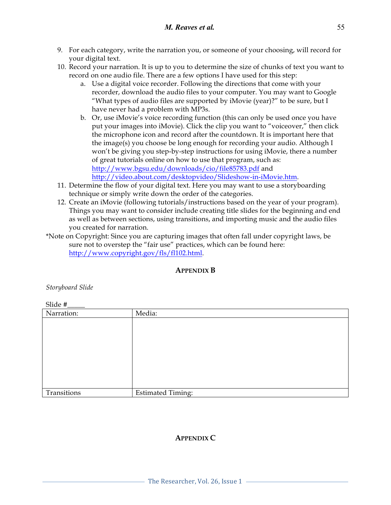- 9. For each category, write the narration you, or someone of your choosing, will record for your digital text.
- 10. Record your narration. It is up to you to determine the size of chunks of text you want to record on one audio file. There are a few options I have used for this step:
	- a. Use a digital voice recorder. Following the directions that come with your recorder, download the audio files to your computer. You may want to Google "What types of audio files are supported by iMovie (year)?" to be sure, but I have never had a problem with MP3s.
	- b. Or, use iMovie's voice recording function (this can only be used once you have put your images into iMovie). Click the clip you want to "voiceover," then click the microphone icon and record after the countdown. It is important here that the image(s) you choose be long enough for recording your audio. Although I won't be giving you step-by-step instructions for using iMovie, there a number of great tutorials online on how to use that program, such as: http://www.bgsu.edu/downloads/cio/file85783.pdf and http://video.about.com/desktopvideo/Slideshow-in-iMovie.htm.
- 11. Determine the flow of your digital text. Here you may want to use a storyboarding technique or simply write down the order of the categories.
- 12. Create an iMovie (following tutorials/instructions based on the year of your program). Things you may want to consider include creating title slides for the beginning and end as well as between sections, using transitions, and importing music and the audio files you created for narration.
- \*Note on Copyright: Since you are capturing images that often fall under copyright laws, be sure not to overstep the "fair use" practices, which can be found here: http://www.copyright.gov/fls/fl102.html.

# **APPENDIX B**

*Storyboard Slide* 

Slide #\_\_\_\_\_

| Narration:  | Media:                   |
|-------------|--------------------------|
|             |                          |
|             |                          |
|             |                          |
|             |                          |
|             |                          |
|             |                          |
|             |                          |
|             |                          |
| Transitions | <b>Estimated Timing:</b> |

# **APPENDIX C**